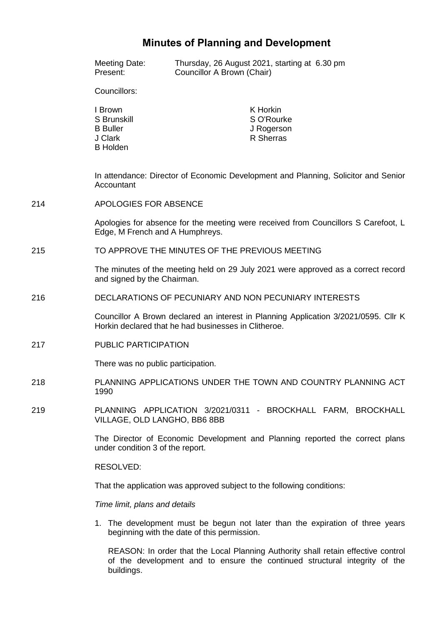# **Minutes of Planning and Development**

|     | <b>Meeting Date:</b><br>Present:                                                                                                            | Councillor A Brown (Chair)                                                         | Thursday, 26 August 2021, starting at 6.30 pm                                 |  |
|-----|---------------------------------------------------------------------------------------------------------------------------------------------|------------------------------------------------------------------------------------|-------------------------------------------------------------------------------|--|
|     | Councillors:                                                                                                                                |                                                                                    |                                                                               |  |
|     | I Brown<br>S Brunskill<br><b>B</b> Buller<br>J Clark<br><b>B</b> Holden                                                                     |                                                                                    | K Horkin<br>S O'Rourke<br>J Rogerson<br>R Sherras                             |  |
|     | In attendance: Director of Economic Development and Planning, Solicitor and Senior<br>Accountant                                            |                                                                                    |                                                                               |  |
| 214 | APOLOGIES FOR ABSENCE                                                                                                                       |                                                                                    |                                                                               |  |
|     | Edge, M French and A Humphreys.                                                                                                             | Apologies for absence for the meeting were received from Councillors S Carefoot, L |                                                                               |  |
| 215 | TO APPROVE THE MINUTES OF THE PREVIOUS MEETING                                                                                              |                                                                                    |                                                                               |  |
|     | The minutes of the meeting held on 29 July 2021 were approved as a correct record<br>and signed by the Chairman.                            |                                                                                    |                                                                               |  |
| 216 | DECLARATIONS OF PECUNIARY AND NON PECUNIARY INTERESTS                                                                                       |                                                                                    |                                                                               |  |
|     | Councillor A Brown declared an interest in Planning Application 3/2021/0595. Cllr K<br>Horkin declared that he had businesses in Clitheroe. |                                                                                    |                                                                               |  |
| 217 | <b>PUBLIC PARTICIPATION</b>                                                                                                                 |                                                                                    |                                                                               |  |
|     | There was no public participation.                                                                                                          |                                                                                    |                                                                               |  |
| 218 | PLANNING APPLICATIONS UNDER THE TOWN AND COUNTRY PLANNING ACT<br>1990                                                                       |                                                                                    |                                                                               |  |
| 219 | PLANNING APPLICATION 3/2021/0311 - BROCKHALL FARM, BROCKHALL<br>VILLAGE, OLD LANGHO, BB6 8BB                                                |                                                                                    |                                                                               |  |
|     | The Director of Economic Development and Planning reported the correct plans<br>under condition 3 of the report.                            |                                                                                    |                                                                               |  |
|     | RESOLVED:                                                                                                                                   |                                                                                    |                                                                               |  |
|     | That the application was approved subject to the following conditions:<br>Time limit, plans and details                                     |                                                                                    |                                                                               |  |
|     |                                                                                                                                             |                                                                                    |                                                                               |  |
|     |                                                                                                                                             | beginning with the date of this permission.                                        | 1. The development must be begun not later than the expiration of three years |  |

REASON: In order that the Local Planning Authority shall retain effective control of the development and to ensure the continued structural integrity of the buildings.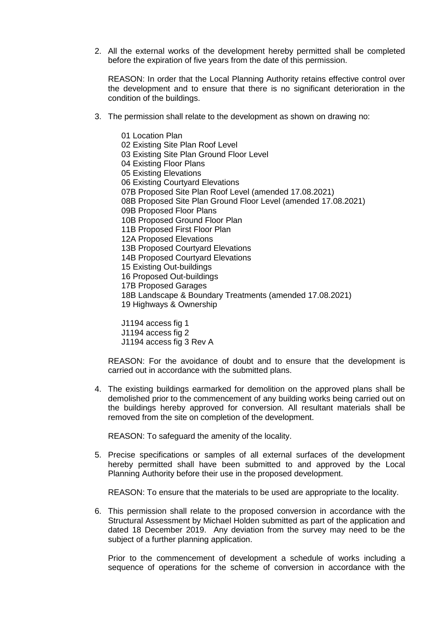2. All the external works of the development hereby permitted shall be completed before the expiration of five years from the date of this permission.

REASON: In order that the Local Planning Authority retains effective control over the development and to ensure that there is no significant deterioration in the condition of the buildings.

3. The permission shall relate to the development as shown on drawing no:

01 Location Plan 02 Existing Site Plan Roof Level 03 Existing Site Plan Ground Floor Level 04 Existing Floor Plans 05 Existing Elevations 06 Existing Courtyard Elevations 07B Proposed Site Plan Roof Level (amended 17.08.2021) 08B Proposed Site Plan Ground Floor Level (amended 17.08.2021) 09B Proposed Floor Plans 10B Proposed Ground Floor Plan 11B Proposed First Floor Plan 12A Proposed Elevations 13B Proposed Courtyard Elevations 14B Proposed Courtyard Elevations 15 Existing Out-buildings 16 Proposed Out-buildings 17B Proposed Garages 18B Landscape & Boundary Treatments (amended 17.08.2021) 19 Highways & Ownership

J1194 access fig 1 J1194 access fig 2 J1194 access fig 3 Rev A

REASON: For the avoidance of doubt and to ensure that the development is carried out in accordance with the submitted plans.

4. The existing buildings earmarked for demolition on the approved plans shall be demolished prior to the commencement of any building works being carried out on the buildings hereby approved for conversion. All resultant materials shall be removed from the site on completion of the development.

REASON: To safeguard the amenity of the locality.

5. Precise specifications or samples of all external surfaces of the development hereby permitted shall have been submitted to and approved by the Local Planning Authority before their use in the proposed development.

REASON: To ensure that the materials to be used are appropriate to the locality.

6. This permission shall relate to the proposed conversion in accordance with the Structural Assessment by Michael Holden submitted as part of the application and dated 18 December 2019. Any deviation from the survey may need to be the subject of a further planning application.

Prior to the commencement of development a schedule of works including a sequence of operations for the scheme of conversion in accordance with the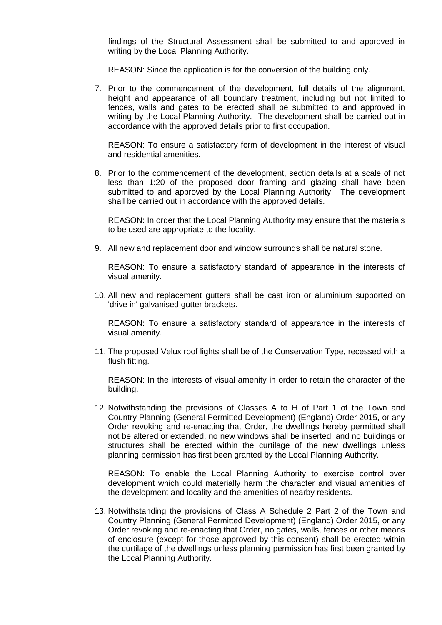findings of the Structural Assessment shall be submitted to and approved in writing by the Local Planning Authority.

REASON: Since the application is for the conversion of the building only.

7. Prior to the commencement of the development, full details of the alignment, height and appearance of all boundary treatment, including but not limited to fences, walls and gates to be erected shall be submitted to and approved in writing by the Local Planning Authority. The development shall be carried out in accordance with the approved details prior to first occupation.

REASON: To ensure a satisfactory form of development in the interest of visual and residential amenities.

8. Prior to the commencement of the development, section details at a scale of not less than 1:20 of the proposed door framing and glazing shall have been submitted to and approved by the Local Planning Authority. The development shall be carried out in accordance with the approved details.

REASON: In order that the Local Planning Authority may ensure that the materials to be used are appropriate to the locality.

9. All new and replacement door and window surrounds shall be natural stone.

REASON: To ensure a satisfactory standard of appearance in the interests of visual amenity.

10. All new and replacement gutters shall be cast iron or aluminium supported on 'drive in' galvanised gutter brackets.

REASON: To ensure a satisfactory standard of appearance in the interests of visual amenity.

11. The proposed Velux roof lights shall be of the Conservation Type, recessed with a flush fitting.

REASON: In the interests of visual amenity in order to retain the character of the building.

12. Notwithstanding the provisions of Classes A to H of Part 1 of the Town and Country Planning (General Permitted Development) (England) Order 2015, or any Order revoking and re-enacting that Order, the dwellings hereby permitted shall not be altered or extended, no new windows shall be inserted, and no buildings or structures shall be erected within the curtilage of the new dwellings unless planning permission has first been granted by the Local Planning Authority.

REASON: To enable the Local Planning Authority to exercise control over development which could materially harm the character and visual amenities of the development and locality and the amenities of nearby residents.

13. Notwithstanding the provisions of Class A Schedule 2 Part 2 of the Town and Country Planning (General Permitted Development) (England) Order 2015, or any Order revoking and re-enacting that Order, no gates, walls, fences or other means of enclosure (except for those approved by this consent) shall be erected within the curtilage of the dwellings unless planning permission has first been granted by the Local Planning Authority.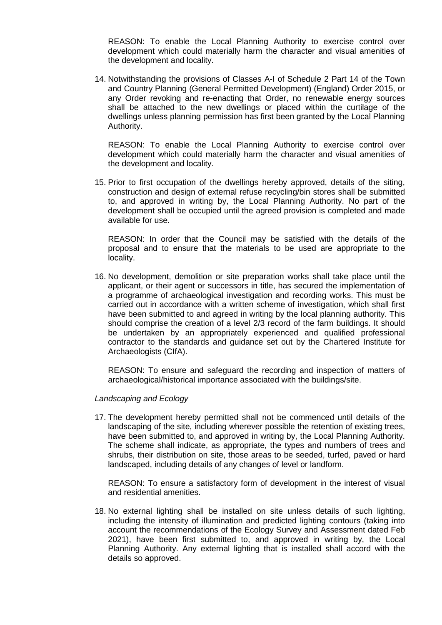REASON: To enable the Local Planning Authority to exercise control over development which could materially harm the character and visual amenities of the development and locality.

14. Notwithstanding the provisions of Classes A-I of Schedule 2 Part 14 of the Town and Country Planning (General Permitted Development) (England) Order 2015, or any Order revoking and re-enacting that Order, no renewable energy sources shall be attached to the new dwellings or placed within the curtilage of the dwellings unless planning permission has first been granted by the Local Planning Authority.

REASON: To enable the Local Planning Authority to exercise control over development which could materially harm the character and visual amenities of the development and locality.

15. Prior to first occupation of the dwellings hereby approved, details of the siting, construction and design of external refuse recycling/bin stores shall be submitted to, and approved in writing by, the Local Planning Authority. No part of the development shall be occupied until the agreed provision is completed and made available for use.

REASON: In order that the Council may be satisfied with the details of the proposal and to ensure that the materials to be used are appropriate to the locality.

16. No development, demolition or site preparation works shall take place until the applicant, or their agent or successors in title, has secured the implementation of a programme of archaeological investigation and recording works. This must be carried out in accordance with a written scheme of investigation, which shall first have been submitted to and agreed in writing by the local planning authority. This should comprise the creation of a level 2/3 record of the farm buildings. It should be undertaken by an appropriately experienced and qualified professional contractor to the standards and guidance set out by the Chartered Institute for Archaeologists (CIfA).

REASON: To ensure and safeguard the recording and inspection of matters of archaeological/historical importance associated with the buildings/site.

## *Landscaping and Ecology*

17. The development hereby permitted shall not be commenced until details of the landscaping of the site, including wherever possible the retention of existing trees, have been submitted to, and approved in writing by, the Local Planning Authority. The scheme shall indicate, as appropriate, the types and numbers of trees and shrubs, their distribution on site, those areas to be seeded, turfed, paved or hard landscaped, including details of any changes of level or landform.

REASON: To ensure a satisfactory form of development in the interest of visual and residential amenities.

18. No external lighting shall be installed on site unless details of such lighting, including the intensity of illumination and predicted lighting contours (taking into account the recommendations of the Ecology Survey and Assessment dated Feb 2021), have been first submitted to, and approved in writing by, the Local Planning Authority. Any external lighting that is installed shall accord with the details so approved.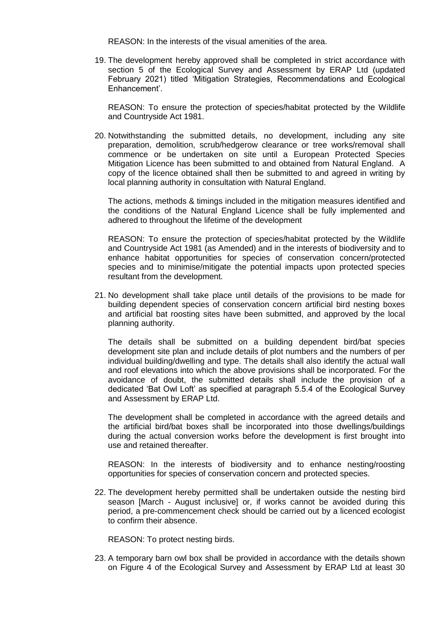REASON: In the interests of the visual amenities of the area.

19. The development hereby approved shall be completed in strict accordance with section 5 of the Ecological Survey and Assessment by ERAP Ltd (updated February 2021) titled 'Mitigation Strategies, Recommendations and Ecological Enhancement'.

REASON: To ensure the protection of species/habitat protected by the Wildlife and Countryside Act 1981.

20. Notwithstanding the submitted details, no development, including any site preparation, demolition, scrub/hedgerow clearance or tree works/removal shall commence or be undertaken on site until a European Protected Species Mitigation Licence has been submitted to and obtained from Natural England. A copy of the licence obtained shall then be submitted to and agreed in writing by local planning authority in consultation with Natural England.

The actions, methods & timings included in the mitigation measures identified and the conditions of the Natural England Licence shall be fully implemented and adhered to throughout the lifetime of the development

REASON: To ensure the protection of species/habitat protected by the Wildlife and Countryside Act 1981 (as Amended) and in the interests of biodiversity and to enhance habitat opportunities for species of conservation concern/protected species and to minimise/mitigate the potential impacts upon protected species resultant from the development.

21. No development shall take place until details of the provisions to be made for building dependent species of conservation concern artificial bird nesting boxes and artificial bat roosting sites have been submitted, and approved by the local planning authority.

The details shall be submitted on a building dependent bird/bat species development site plan and include details of plot numbers and the numbers of per individual building/dwelling and type. The details shall also identify the actual wall and roof elevations into which the above provisions shall be incorporated. For the avoidance of doubt, the submitted details shall include the provision of a dedicated 'Bat Owl Loft' as specified at paragraph 5.5.4 of the Ecological Survey and Assessment by ERAP Ltd.

The development shall be completed in accordance with the agreed details and the artificial bird/bat boxes shall be incorporated into those dwellings/buildings during the actual conversion works before the development is first brought into use and retained thereafter.

REASON: In the interests of biodiversity and to enhance nesting/roosting opportunities for species of conservation concern and protected species.

22. The development hereby permitted shall be undertaken outside the nesting bird season [March - August inclusive] or, if works cannot be avoided during this period, a pre-commencement check should be carried out by a licenced ecologist to confirm their absence.

REASON: To protect nesting birds.

23. A temporary barn owl box shall be provided in accordance with the details shown on Figure 4 of the Ecological Survey and Assessment by ERAP Ltd at least 30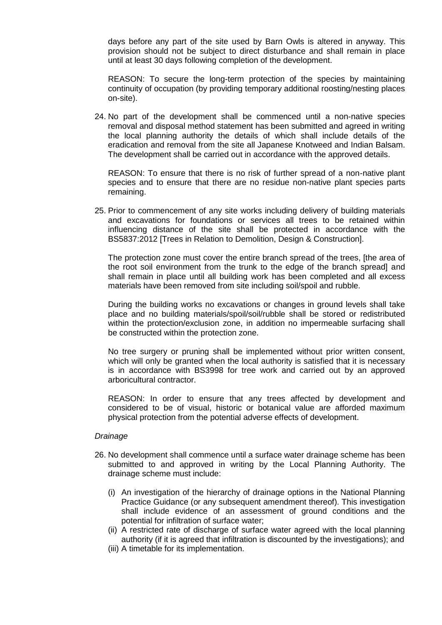days before any part of the site used by Barn Owls is altered in anyway. This provision should not be subject to direct disturbance and shall remain in place until at least 30 days following completion of the development.

REASON: To secure the long-term protection of the species by maintaining continuity of occupation (by providing temporary additional roosting/nesting places on-site).

24. No part of the development shall be commenced until a non-native species removal and disposal method statement has been submitted and agreed in writing the local planning authority the details of which shall include details of the eradication and removal from the site all Japanese Knotweed and Indian Balsam. The development shall be carried out in accordance with the approved details.

REASON: To ensure that there is no risk of further spread of a non-native plant species and to ensure that there are no residue non-native plant species parts remaining.

25. Prior to commencement of any site works including delivery of building materials and excavations for foundations or services all trees to be retained within influencing distance of the site shall be protected in accordance with the BS5837:2012 [Trees in Relation to Demolition, Design & Construction].

The protection zone must cover the entire branch spread of the trees, [the area of the root soil environment from the trunk to the edge of the branch spread] and shall remain in place until all building work has been completed and all excess materials have been removed from site including soil/spoil and rubble.

During the building works no excavations or changes in ground levels shall take place and no building materials/spoil/soil/rubble shall be stored or redistributed within the protection/exclusion zone, in addition no impermeable surfacing shall be constructed within the protection zone.

No tree surgery or pruning shall be implemented without prior written consent, which will only be granted when the local authority is satisfied that it is necessary is in accordance with BS3998 for tree work and carried out by an approved arboricultural contractor.

REASON: In order to ensure that any trees affected by development and considered to be of visual, historic or botanical value are afforded maximum physical protection from the potential adverse effects of development.

## *Drainage*

- 26. No development shall commence until a surface water drainage scheme has been submitted to and approved in writing by the Local Planning Authority. The drainage scheme must include:
	- (i) An investigation of the hierarchy of drainage options in the National Planning Practice Guidance (or any subsequent amendment thereof). This investigation shall include evidence of an assessment of ground conditions and the potential for infiltration of surface water;
	- (ii) A restricted rate of discharge of surface water agreed with the local planning authority (if it is agreed that infiltration is discounted by the investigations); and
	- (iii) A timetable for its implementation.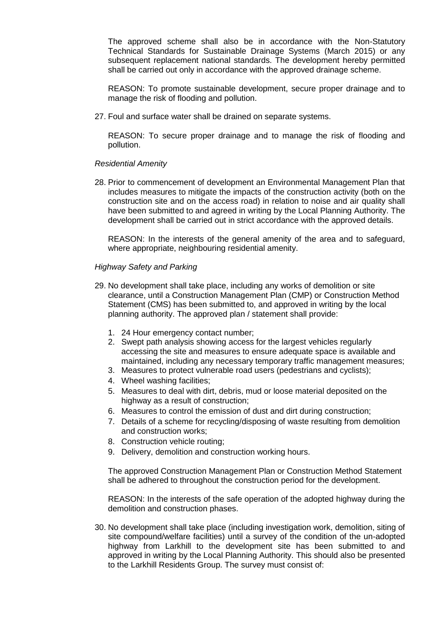The approved scheme shall also be in accordance with the Non-Statutory Technical Standards for Sustainable Drainage Systems (March 2015) or any subsequent replacement national standards. The development hereby permitted shall be carried out only in accordance with the approved drainage scheme.

REASON: To promote sustainable development, secure proper drainage and to manage the risk of flooding and pollution.

27. Foul and surface water shall be drained on separate systems.

REASON: To secure proper drainage and to manage the risk of flooding and pollution.

## *Residential Amenity*

28. Prior to commencement of development an Environmental Management Plan that includes measures to mitigate the impacts of the construction activity (both on the construction site and on the access road) in relation to noise and air quality shall have been submitted to and agreed in writing by the Local Planning Authority. The development shall be carried out in strict accordance with the approved details.

REASON: In the interests of the general amenity of the area and to safeguard, where appropriate, neighbouring residential amenity.

## *Highway Safety and Parking*

- 29. No development shall take place, including any works of demolition or site clearance, until a Construction Management Plan (CMP) or Construction Method Statement (CMS) has been submitted to, and approved in writing by the local planning authority. The approved plan / statement shall provide:
	- 1. 24 Hour emergency contact number;
	- 2. Swept path analysis showing access for the largest vehicles regularly accessing the site and measures to ensure adequate space is available and maintained, including any necessary temporary traffic management measures;
	- 3. Measures to protect vulnerable road users (pedestrians and cyclists);
	- 4. Wheel washing facilities;
	- 5. Measures to deal with dirt, debris, mud or loose material deposited on the highway as a result of construction;
	- 6. Measures to control the emission of dust and dirt during construction;
	- 7. Details of a scheme for recycling/disposing of waste resulting from demolition and construction works;
	- 8. Construction vehicle routing;
	- 9. Delivery, demolition and construction working hours.

The approved Construction Management Plan or Construction Method Statement shall be adhered to throughout the construction period for the development.

REASON: In the interests of the safe operation of the adopted highway during the demolition and construction phases.

30. No development shall take place (including investigation work, demolition, siting of site compound/welfare facilities) until a survey of the condition of the un-adopted highway from Larkhill to the development site has been submitted to and approved in writing by the Local Planning Authority. This should also be presented to the Larkhill Residents Group. The survey must consist of: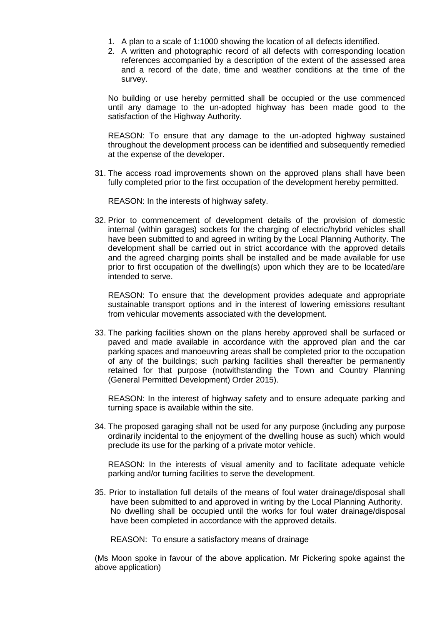- 1. A plan to a scale of 1:1000 showing the location of all defects identified.
- 2. A written and photographic record of all defects with corresponding location references accompanied by a description of the extent of the assessed area and a record of the date, time and weather conditions at the time of the survey.

No building or use hereby permitted shall be occupied or the use commenced until any damage to the un-adopted highway has been made good to the satisfaction of the Highway Authority.

REASON: To ensure that any damage to the un-adopted highway sustained throughout the development process can be identified and subsequently remedied at the expense of the developer.

31. The access road improvements shown on the approved plans shall have been fully completed prior to the first occupation of the development hereby permitted.

REASON: In the interests of highway safety.

32. Prior to commencement of development details of the provision of domestic internal (within garages) sockets for the charging of electric/hybrid vehicles shall have been submitted to and agreed in writing by the Local Planning Authority. The development shall be carried out in strict accordance with the approved details and the agreed charging points shall be installed and be made available for use prior to first occupation of the dwelling(s) upon which they are to be located/are intended to serve.

REASON: To ensure that the development provides adequate and appropriate sustainable transport options and in the interest of lowering emissions resultant from vehicular movements associated with the development.

33. The parking facilities shown on the plans hereby approved shall be surfaced or paved and made available in accordance with the approved plan and the car parking spaces and manoeuvring areas shall be completed prior to the occupation of any of the buildings; such parking facilities shall thereafter be permanently retained for that purpose (notwithstanding the Town and Country Planning (General Permitted Development) Order 2015).

REASON: In the interest of highway safety and to ensure adequate parking and turning space is available within the site.

34. The proposed garaging shall not be used for any purpose (including any purpose ordinarily incidental to the enjoyment of the dwelling house as such) which would preclude its use for the parking of a private motor vehicle.

REASON: In the interests of visual amenity and to facilitate adequate vehicle parking and/or turning facilities to serve the development.

35. Prior to installation full details of the means of foul water drainage/disposal shall have been submitted to and approved in writing by the Local Planning Authority. No dwelling shall be occupied until the works for foul water drainage/disposal have been completed in accordance with the approved details.

REASON: To ensure a satisfactory means of drainage

(Ms Moon spoke in favour of the above application. Mr Pickering spoke against the above application)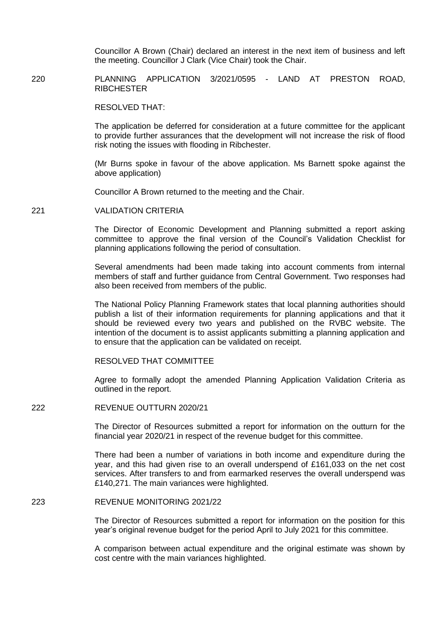Councillor A Brown (Chair) declared an interest in the next item of business and left the meeting. Councillor J Clark (Vice Chair) took the Chair.

220 PLANNING APPLICATION 3/2021/0595 - LAND AT PRESTON ROAD, **RIBCHESTER** 

RESOLVED THAT:

The application be deferred for consideration at a future committee for the applicant to provide further assurances that the development will not increase the risk of flood risk noting the issues with flooding in Ribchester.

(Mr Burns spoke in favour of the above application. Ms Barnett spoke against the above application)

Councillor A Brown returned to the meeting and the Chair.

221 VALIDATION CRITERIA

The Director of Economic Development and Planning submitted a report asking committee to approve the final version of the Council's Validation Checklist for planning applications following the period of consultation.

Several amendments had been made taking into account comments from internal members of staff and further guidance from Central Government. Two responses had also been received from members of the public.

The National Policy Planning Framework states that local planning authorities should publish a list of their information requirements for planning applications and that it should be reviewed every two years and published on the RVBC website. The intention of the document is to assist applicants submitting a planning application and to ensure that the application can be validated on receipt.

RESOLVED THAT COMMITTEE

Agree to formally adopt the amended Planning Application Validation Criteria as outlined in the report.

## 222 REVENUE OUTTURN 2020/21

The Director of Resources submitted a report for information on the outturn for the financial year 2020/21 in respect of the revenue budget for this committee.

There had been a number of variations in both income and expenditure during the year, and this had given rise to an overall underspend of £161,033 on the net cost services. After transfers to and from earmarked reserves the overall underspend was £140,271. The main variances were highlighted.

#### 223 REVENUE MONITORING 2021/22

The Director of Resources submitted a report for information on the position for this year's original revenue budget for the period April to July 2021 for this committee.

A comparison between actual expenditure and the original estimate was shown by cost centre with the main variances highlighted.